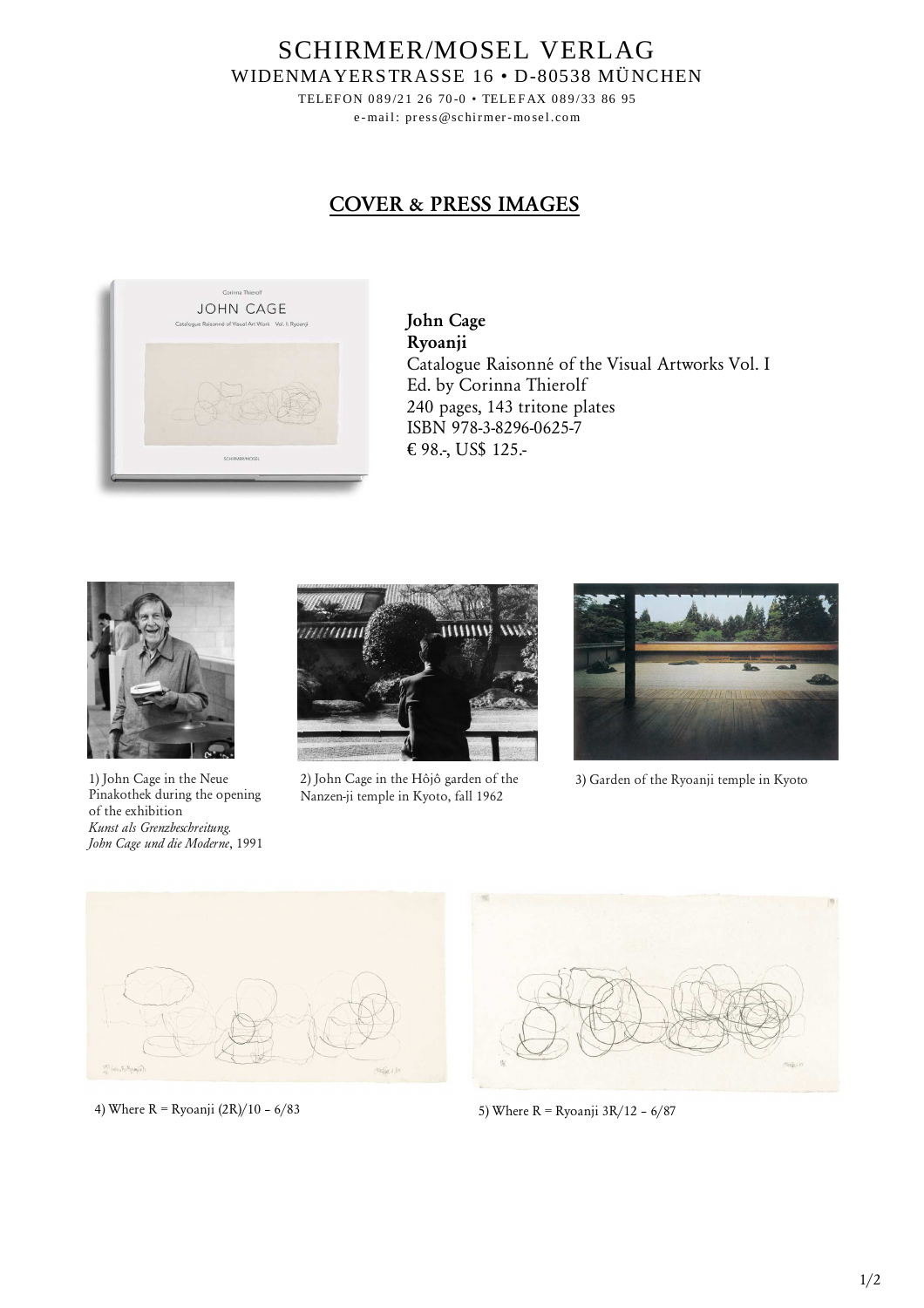SCHIRMER/MOSEL VERLAG WIDENMAYERSTRASSE 16 • D-80538 MÜNCHEN

> TELEFON 089/21 26 70-0 • TELEFAX 089/33 86 95 e-mail: press@schirmer-mosel.com

## **COVER & PRESS IMAGES**



**John Cage Ryoanji** Catalogue Raisonné of the Visual Artworks Vol. I Ed. by Corinna Thierolf 240 pages, 143 tritone plates ISBN 978-3-8296-0625-7 € 98.-, US\$ 125.-



1) John Cage in the Neue Pinakothek during the opening of the exhibition *Kunst als Grenzbeschreitung. John Cage und die Moderne*, 1991



2) John Cage in the Hôjô garden of the Nanzen-ji temple in Kyoto, fall 1962



3) Garden of the Ryoanji temple in Kyoto



4) Where R = Ryoanji (2R)/10 - 6/83 5) Where R = Ryoanji 3R/12 - 6/87